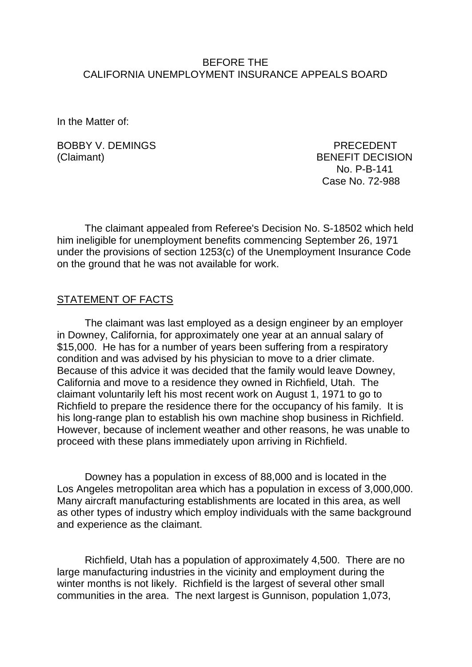#### BEFORE THE CALIFORNIA UNEMPLOYMENT INSURANCE APPEALS BOARD

In the Matter of:

BOBBY V. DEMINGS PRECEDENT (Claimant) BENEFIT DECISION

 No. P-B-141 Case No. 72-988

The claimant appealed from Referee's Decision No. S-18502 which held him ineligible for unemployment benefits commencing September 26, 1971 under the provisions of section 1253(c) of the Unemployment Insurance Code on the ground that he was not available for work.

### STATEMENT OF FACTS

The claimant was last employed as a design engineer by an employer in Downey, California, for approximately one year at an annual salary of \$15,000. He has for a number of years been suffering from a respiratory condition and was advised by his physician to move to a drier climate. Because of this advice it was decided that the family would leave Downey, California and move to a residence they owned in Richfield, Utah. The claimant voluntarily left his most recent work on August 1, 1971 to go to Richfield to prepare the residence there for the occupancy of his family. It is his long-range plan to establish his own machine shop business in Richfield. However, because of inclement weather and other reasons, he was unable to proceed with these plans immediately upon arriving in Richfield.

Downey has a population in excess of 88,000 and is located in the Los Angeles metropolitan area which has a population in excess of 3,000,000. Many aircraft manufacturing establishments are located in this area, as well as other types of industry which employ individuals with the same background and experience as the claimant.

Richfield, Utah has a population of approximately 4,500. There are no large manufacturing industries in the vicinity and employment during the winter months is not likely. Richfield is the largest of several other small communities in the area. The next largest is Gunnison, population 1,073,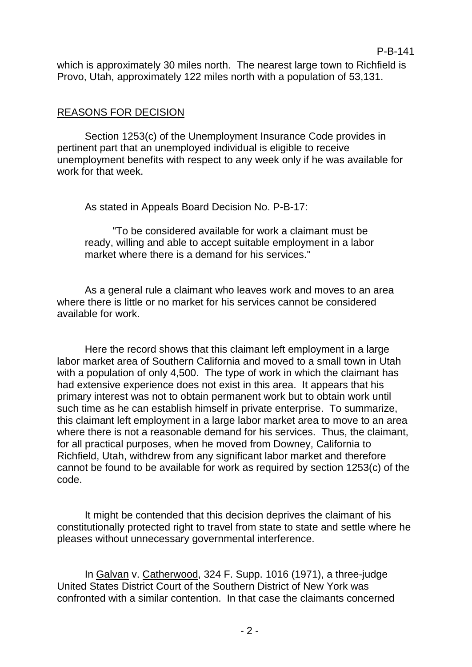which is approximately 30 miles north. The nearest large town to Richfield is Provo, Utah, approximately 122 miles north with a population of 53,131.

## REASONS FOR DECISION

Section 1253(c) of the Unemployment Insurance Code provides in pertinent part that an unemployed individual is eligible to receive unemployment benefits with respect to any week only if he was available for work for that week

As stated in Appeals Board Decision No. P-B-17:

"To be considered available for work a claimant must be ready, willing and able to accept suitable employment in a labor market where there is a demand for his services."

As a general rule a claimant who leaves work and moves to an area where there is little or no market for his services cannot be considered available for work.

Here the record shows that this claimant left employment in a large labor market area of Southern California and moved to a small town in Utah with a population of only 4,500. The type of work in which the claimant has had extensive experience does not exist in this area. It appears that his primary interest was not to obtain permanent work but to obtain work until such time as he can establish himself in private enterprise. To summarize, this claimant left employment in a large labor market area to move to an area where there is not a reasonable demand for his services. Thus, the claimant, for all practical purposes, when he moved from Downey, California to Richfield, Utah, withdrew from any significant labor market and therefore cannot be found to be available for work as required by section 1253(c) of the code.

It might be contended that this decision deprives the claimant of his constitutionally protected right to travel from state to state and settle where he pleases without unnecessary governmental interference.

In Galvan v. Catherwood, 324 F. Supp. 1016 (1971), a three-judge United States District Court of the Southern District of New York was confronted with a similar contention. In that case the claimants concerned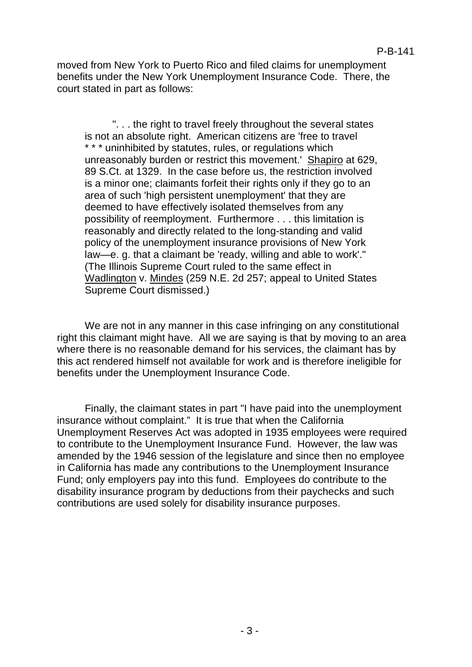moved from New York to Puerto Rico and filed claims for unemployment benefits under the New York Unemployment Insurance Code. There, the court stated in part as follows:

". . . the right to travel freely throughout the several states is not an absolute right. American citizens are 'free to travel \* \* \* uninhibited by statutes, rules, or regulations which unreasonably burden or restrict this movement.' Shapiro at 629, 89 S.Ct. at 1329. In the case before us, the restriction involved is a minor one; claimants forfeit their rights only if they go to an area of such 'high persistent unemployment' that they are deemed to have effectively isolated themselves from any possibility of reemployment. Furthermore . . . this limitation is reasonably and directly related to the long-standing and valid policy of the unemployment insurance provisions of New York law—e. g. that a claimant be 'ready, willing and able to work'." (The Illinois Supreme Court ruled to the same effect in Wadlington v. Mindes (259 N.E. 2d 257; appeal to United States Supreme Court dismissed.)

We are not in any manner in this case infringing on any constitutional right this claimant might have. All we are saying is that by moving to an area where there is no reasonable demand for his services, the claimant has by this act rendered himself not available for work and is therefore ineligible for benefits under the Unemployment Insurance Code.

Finally, the claimant states in part "I have paid into the unemployment insurance without complaint." It is true that when the California Unemployment Reserves Act was adopted in 1935 employees were required to contribute to the Unemployment Insurance Fund. However, the law was amended by the 1946 session of the legislature and since then no employee in California has made any contributions to the Unemployment Insurance Fund; only employers pay into this fund. Employees do contribute to the disability insurance program by deductions from their paychecks and such contributions are used solely for disability insurance purposes.